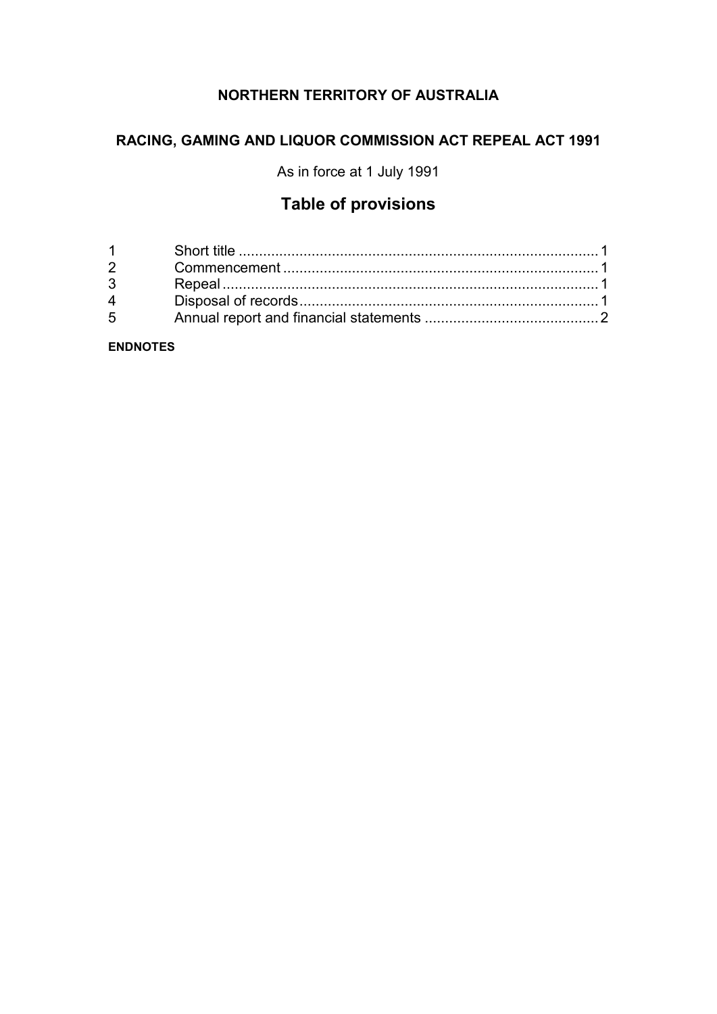# **NORTHERN TERRITORY OF AUSTRALIA**

# **RACING, GAMING AND LIQUOR COMMISSION ACT REPEAL ACT 1991**

As in force at 1 July 1991

# **Table of provisions**

| $1 \quad \blacksquare$         |  |
|--------------------------------|--|
| $2 \left( \frac{1}{2} \right)$ |  |
| $3^{\circ}$                    |  |
| $\overline{4}$                 |  |
| $5^{\circ}$                    |  |
|                                |  |

**ENDNOTES**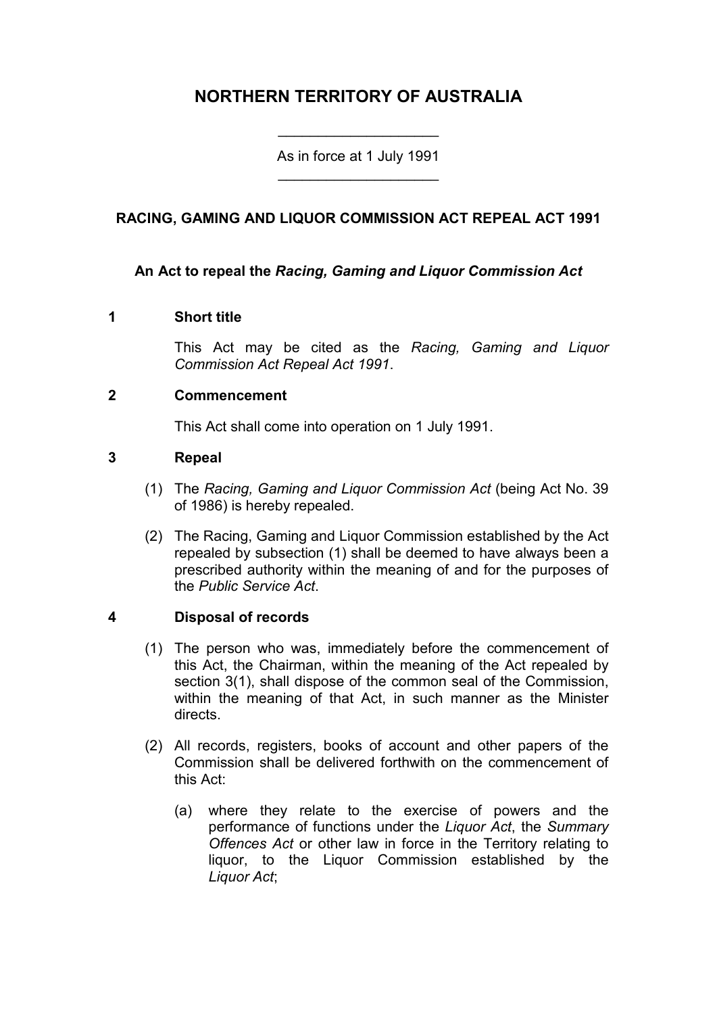# **NORTHERN TERRITORY OF AUSTRALIA**

As in force at 1 July 1991 \_\_\_\_\_\_\_\_\_\_\_\_\_\_\_\_\_\_\_\_

\_\_\_\_\_\_\_\_\_\_\_\_\_\_\_\_\_\_\_\_

# **RACING, GAMING AND LIQUOR COMMISSION ACT REPEAL ACT 1991**

## **An Act to repeal the** *Racing, Gaming and Liquor Commission Act*

#### **1 Short title**

This Act may be cited as the *Racing, Gaming and Liquor Commission Act Repeal Act 1991*.

#### **2 Commencement**

This Act shall come into operation on 1 July 1991.

#### **3 Repeal**

- (1) The *Racing, Gaming and Liquor Commission Act* (being Act No. 39 of 1986) is hereby repealed.
- (2) The Racing, Gaming and Liquor Commission established by the Act repealed by subsection (1) shall be deemed to have always been a prescribed authority within the meaning of and for the purposes of the *Public Service Act*.

## **4 Disposal of records**

- (1) The person who was, immediately before the commencement of this Act, the Chairman, within the meaning of the Act repealed by section 3(1), shall dispose of the common seal of the Commission, within the meaning of that Act, in such manner as the Minister directs.
- (2) All records, registers, books of account and other papers of the Commission shall be delivered forthwith on the commencement of this Act:
	- (a) where they relate to the exercise of powers and the performance of functions under the *Liquor Act*, the *Summary Offences Act* or other law in force in the Territory relating to liquor, to the Liquor Commission established by the *Liquor Act*;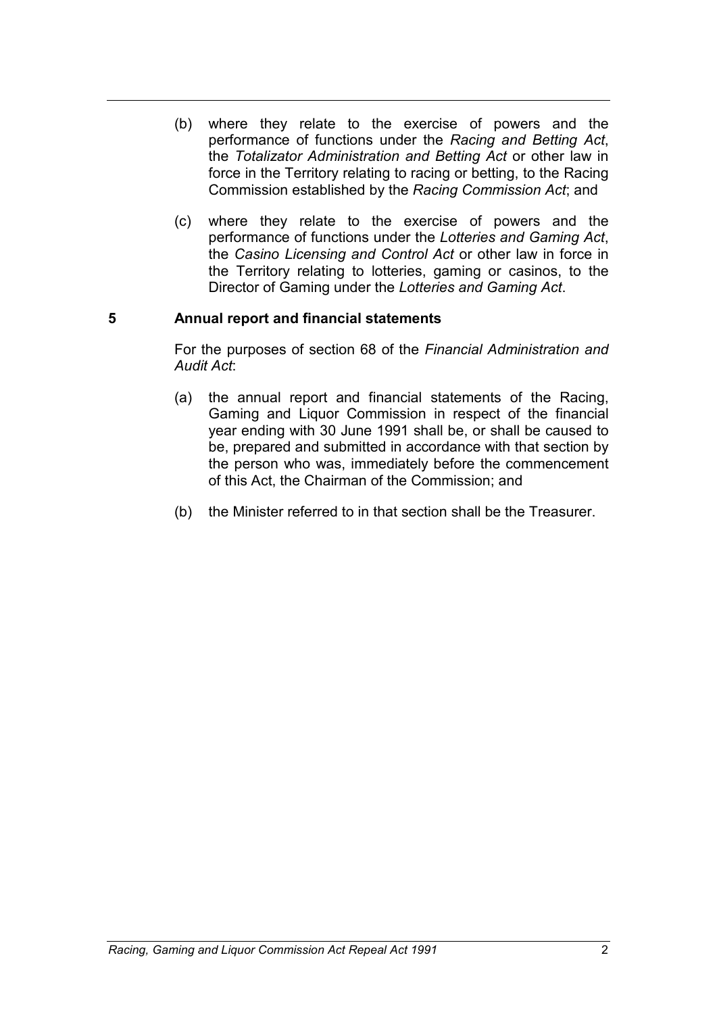- (b) where they relate to the exercise of powers and the performance of functions under the *Racing and Betting Act*, the *Totalizator Administration and Betting Act* or other law in force in the Territory relating to racing or betting, to the Racing Commission established by the *Racing Commission Act*; and
- (c) where they relate to the exercise of powers and the performance of functions under the *Lotteries and Gaming Act*, the *Casino Licensing and Control Act* or other law in force in the Territory relating to lotteries, gaming or casinos, to the Director of Gaming under the *Lotteries and Gaming Act*.

## **5 Annual report and financial statements**

For the purposes of section 68 of the *Financial Administration and Audit Act*:

- (a) the annual report and financial statements of the Racing, Gaming and Liquor Commission in respect of the financial year ending with 30 June 1991 shall be, or shall be caused to be, prepared and submitted in accordance with that section by the person who was, immediately before the commencement of this Act, the Chairman of the Commission; and
- (b) the Minister referred to in that section shall be the Treasurer.